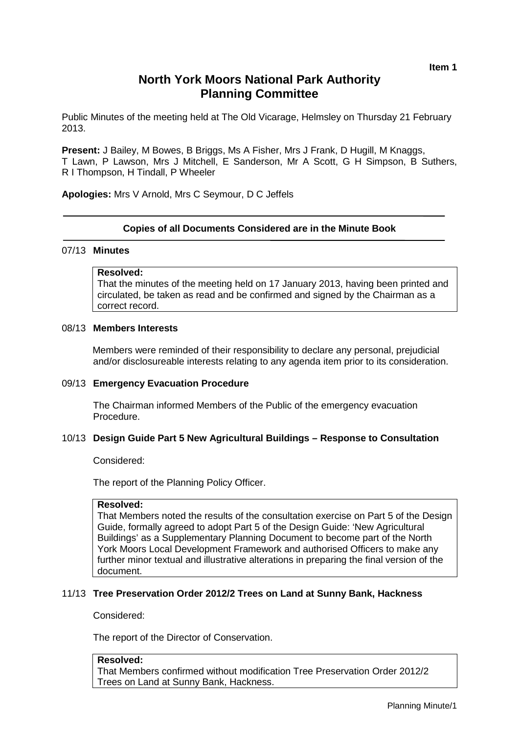# **North York Moors National Park Authority Planning Committee**

Public Minutes of the meeting held at The Old Vicarage, Helmsley on Thursday 21 February 2013.

**Present:** J Bailey, M Bowes, B Briggs, Ms A Fisher, Mrs J Frank, D Hugill, M Knaggs, T Lawn, P Lawson, Mrs J Mitchell, E Sanderson, Mr A Scott, G H Simpson, B Suthers, R I Thompson, H Tindall, P Wheeler

**Apologies:** Mrs V Arnold, Mrs C Seymour, D C Jeffels

# **Copies of all Documents Considered are in the Minute Book**

#### 07/13 **Minutes**

# **Resolved:**

That the minutes of the meeting held on 17 January 2013, having been printed and circulated, be taken as read and be confirmed and signed by the Chairman as a correct record.

## 08/13 **Members Interests**

Members were reminded of their responsibility to declare any personal, prejudicial and/or disclosureable interests relating to any agenda item prior to its consideration.

#### 09/13 **Emergency Evacuation Procedure**

The Chairman informed Members of the Public of the emergency evacuation Procedure.

## 10/13 **Design Guide Part 5 New Agricultural Buildings – Response to Consultation**

Considered:

The report of the Planning Policy Officer.

#### **Resolved:**

That Members noted the results of the consultation exercise on Part 5 of the Design Guide, formally agreed to adopt Part 5 of the Design Guide: 'New Agricultural Buildings' as a Supplementary Planning Document to become part of the North York Moors Local Development Framework and authorised Officers to make any further minor textual and illustrative alterations in preparing the final version of the document.

## 11/13 **Tree Preservation Order 2012/2 Trees on Land at Sunny Bank, Hackness**

Considered:

The report of the Director of Conservation.

#### **Resolved:**

That Members confirmed without modification Tree Preservation Order 2012/2 Trees on Land at Sunny Bank, Hackness.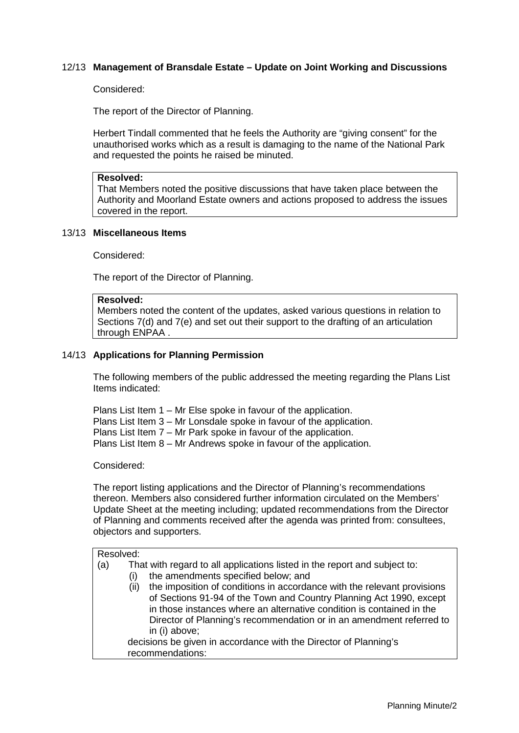# 12/13 **Management of Bransdale Estate – Update on Joint Working and Discussions**

### Considered:

The report of the Director of Planning.

Herbert Tindall commented that he feels the Authority are "giving consent" for the unauthorised works which as a result is damaging to the name of the National Park and requested the points he raised be minuted.

#### **Resolved:**

That Members noted the positive discussions that have taken place between the Authority and Moorland Estate owners and actions proposed to address the issues covered in the report.

#### 13/13 **Miscellaneous Items**

Considered:

The report of the Director of Planning.

#### **Resolved:**

Members noted the content of the updates, asked various questions in relation to Sections 7(d) and 7(e) and set out their support to the drafting of an articulation through ENPAA .

### 14/13 **Applications for Planning Permission**

The following members of the public addressed the meeting regarding the Plans List Items indicated:

Plans List Item 1 – Mr Else spoke in favour of the application. Plans List Item 3 – Mr Lonsdale spoke in favour of the application. Plans List Item 7 – Mr Park spoke in favour of the application. Plans List Item 8 – Mr Andrews spoke in favour of the application.

Considered:

The report listing applications and the Director of Planning's recommendations thereon. Members also considered further information circulated on the Members' Update Sheet at the meeting including; updated recommendations from the Director of Planning and comments received after the agenda was printed from: consultees, objectors and supporters.

| Resolved: |                                                                                                                                                                                                                                                                                                                                                            |
|-----------|------------------------------------------------------------------------------------------------------------------------------------------------------------------------------------------------------------------------------------------------------------------------------------------------------------------------------------------------------------|
| (a)       | That with regard to all applications listed in the report and subject to:<br>the amendments specified below; and<br>(i)<br>the imposition of conditions in accordance with the relevant provisions<br>(ii)<br>of Sections 91-94 of the Town and Country Planning Act 1990, except<br>in those instances where an alternative condition is contained in the |
|           | Director of Planning's recommendation or in an amendment referred to<br>in (i) above;                                                                                                                                                                                                                                                                      |
|           | decisions be given in accordance with the Director of Planning's                                                                                                                                                                                                                                                                                           |
|           | recommendations:                                                                                                                                                                                                                                                                                                                                           |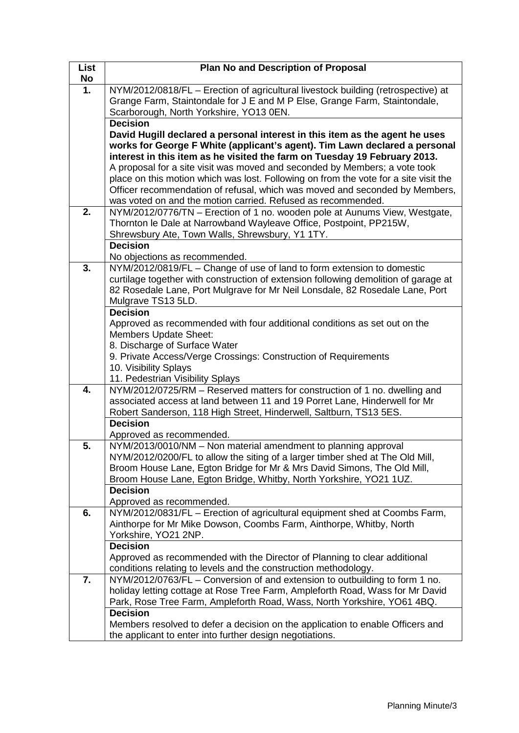| List      | <b>Plan No and Description of Proposal</b>                                           |
|-----------|--------------------------------------------------------------------------------------|
| <b>No</b> |                                                                                      |
| 1.        | NYM/2012/0818/FL - Erection of agricultural livestock building (retrospective) at    |
|           | Grange Farm, Staintondale for J E and M P Else, Grange Farm, Staintondale,           |
|           | Scarborough, North Yorkshire, YO13 0EN.                                              |
|           | <b>Decision</b>                                                                      |
|           | David Hugill declared a personal interest in this item as the agent he uses          |
|           | works for George F White (applicant's agent). Tim Lawn declared a personal           |
|           | interest in this item as he visited the farm on Tuesday 19 February 2013.            |
|           | A proposal for a site visit was moved and seconded by Members; a vote took           |
|           | place on this motion which was lost. Following on from the vote for a site visit the |
|           | Officer recommendation of refusal, which was moved and seconded by Members,          |
|           | was voted on and the motion carried. Refused as recommended.                         |
| 2.        | NYM/2012/0776/TN - Erection of 1 no. wooden pole at Aunums View, Westgate,           |
|           | Thornton le Dale at Narrowband Wayleave Office, Postpoint, PP215W,                   |
|           | Shrewsbury Ate, Town Walls, Shrewsbury, Y1 1TY.                                      |
|           | <b>Decision</b>                                                                      |
|           | No objections as recommended.                                                        |
| 3.        | NYM/2012/0819/FL - Change of use of land to form extension to domestic               |
|           | curtilage together with construction of extension following demolition of garage at  |
|           | 82 Rosedale Lane, Port Mulgrave for Mr Neil Lonsdale, 82 Rosedale Lane, Port         |
|           | Mulgrave TS13 5LD.                                                                   |
|           | <b>Decision</b>                                                                      |
|           | Approved as recommended with four additional conditions as set out on the            |
|           | <b>Members Update Sheet:</b>                                                         |
|           | 8. Discharge of Surface Water                                                        |
|           | 9. Private Access/Verge Crossings: Construction of Requirements                      |
|           | 10. Visibility Splays                                                                |
|           | 11. Pedestrian Visibility Splays                                                     |
| 4.        | NYM/2012/0725/RM - Reserved matters for construction of 1 no. dwelling and           |
|           | associated access at land between 11 and 19 Porret Lane, Hinderwell for Mr           |
|           | Robert Sanderson, 118 High Street, Hinderwell, Saltburn, TS13 5ES.                   |
|           | <b>Decision</b>                                                                      |
|           | Approved as recommended.                                                             |
| 5.        | NYM/2013/0010/NM - Non material amendment to planning approval                       |
|           | NYM/2012/0200/FL to allow the siting of a larger timber shed at The Old Mill,        |
|           | Broom House Lane, Egton Bridge for Mr & Mrs David Simons, The Old Mill,              |
|           | Broom House Lane, Egton Bridge, Whitby, North Yorkshire, YO21 1UZ.                   |
|           | <b>Decision</b>                                                                      |
|           | Approved as recommended.                                                             |
| 6.        | NYM/2012/0831/FL - Erection of agricultural equipment shed at Coombs Farm,           |
|           | Ainthorpe for Mr Mike Dowson, Coombs Farm, Ainthorpe, Whitby, North                  |
|           | Yorkshire, YO21 2NP.                                                                 |
|           | <b>Decision</b>                                                                      |
|           | Approved as recommended with the Director of Planning to clear additional            |
|           | conditions relating to levels and the construction methodology.                      |
| 7.        | NYM/2012/0763/FL – Conversion of and extension to outbuilding to form 1 no.          |
|           | holiday letting cottage at Rose Tree Farm, Ampleforth Road, Wass for Mr David        |
|           | Park, Rose Tree Farm, Ampleforth Road, Wass, North Yorkshire, YO61 4BQ.              |
|           | <b>Decision</b>                                                                      |
|           | Members resolved to defer a decision on the application to enable Officers and       |
|           | the applicant to enter into further design negotiations.                             |